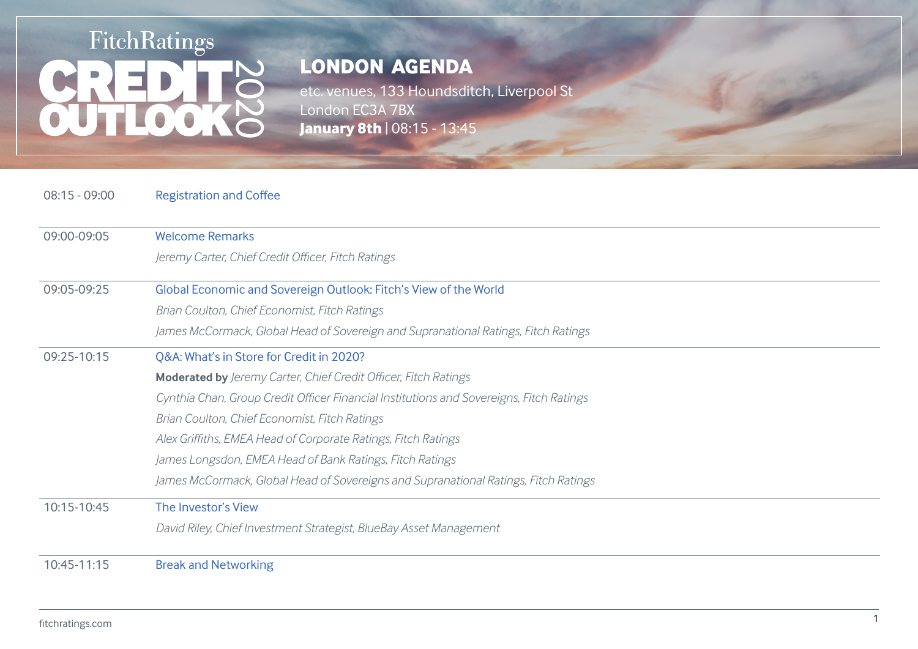# FitchRatings **OUTLOO**

## **LONDON AGENDA**

etc. venues, 133 Houndsditch, Liverpool St London EC3A 7BX **January 8th** | 08:15 - 13:45

08:15 - 09:00 Registration and Coffee

| 09:00-09:05 | <b>Welcome Remarks</b>                                                                  |
|-------------|-----------------------------------------------------------------------------------------|
|             | Jeremy Carter, Chief Credit Officer, Fitch Ratings                                      |
|             |                                                                                         |
| 09:05-09:25 | Global Economic and Sovereign Outlook: Fitch's View of the World                        |
|             | Brian Coulton, Chief Economist, Fitch Ratings                                           |
|             | James McCormack, Global Head of Sovereign and Supranational Ratings, Fitch Ratings      |
| 09:25-10:15 | Q&A: What's in Store for Credit in 2020?                                                |
|             | Moderated by Jeremy Carter, Chief Credit Officer, Fitch Ratings                         |
|             | Cynthia Chan, Group Credit Officer Financial Institutions and Sovereigns, Fitch Ratings |
|             | Brian Coulton, Chief Economist, Fitch Ratings                                           |
|             | Alex Griffiths, EMEA Head of Corporate Ratings, Fitch Ratings                           |
|             | James Longsdon, EMEA Head of Bank Ratings, Fitch Ratings                                |
|             | James McCormack, Global Head of Sovereigns and Supranational Ratings, Fitch Ratings     |
| 10:15-10:45 | The Investor's View                                                                     |
|             | David Riley, Chief Investment Strategist, BlueBay Asset Management                      |
|             |                                                                                         |
| 10:45-11:15 | <b>Break and Networking</b>                                                             |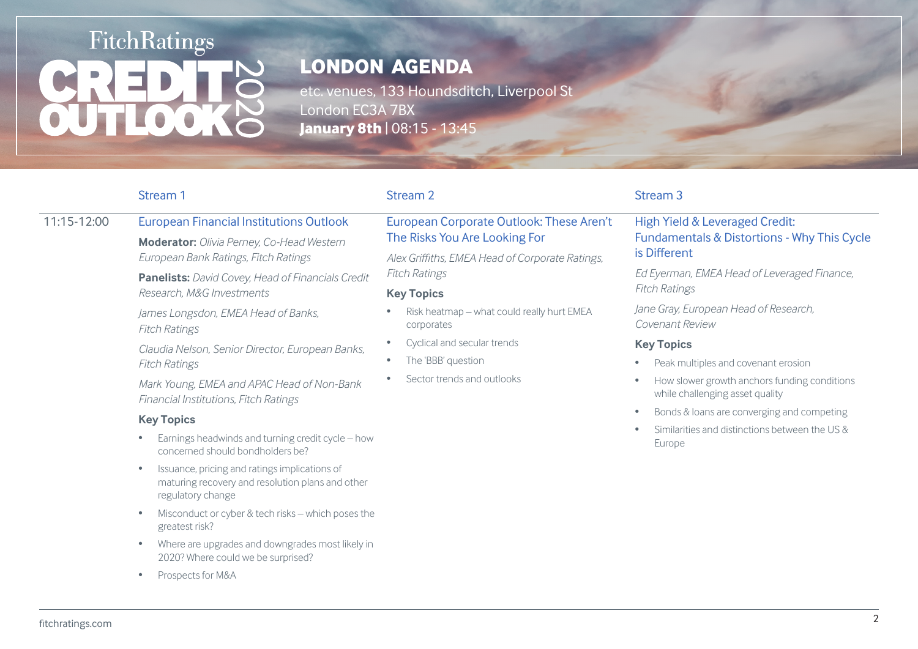# **FitchRatings** LO O

## **LONDON AGENDA**

etc. venues, 133 Houndsditch, Liverpool St London EC3A 7BX **January 8th** | 08:15 - 13:45

11:15-12:00 European Financial Institutions Outlook

*Research, M&G Investments* 

**Moderator:** *Olivia Perney, Co-Head Western* 

**Panelists:** *David Covey, Head of Financials Credit* 

*Claudia Nelson, Senior Director, European Banks,* 

*Mark Young, EMEA and APAC Head of Non-Bank* 

*European Bank Ratings, Fitch Ratings*

*James Longsdon, EMEA Head of Banks,* 

*Financial Institutions, Fitch Ratings*

#### European Corporate Outlook: These Aren't The Risks You Are Looking For

*Alex Griffiths, EMEA Head of Corporate Ratings, Fitch Ratings*

#### **Key Topics**

- Risk heatmap what could really hurt EMEA corporates
- Cyclical and secular trends
- The 'BBB' question
- Sector trends and outlooks

#### Stream 1 Stream 2 Stream 2 Stream 3 Stream 3 Stream 3 Stream 3 Stream 3 Stream 3

#### High Yield & Leveraged Credit: Fundamentals & Distortions - Why This Cycle is Different

*Ed Eyerman, EMEA Head of Leveraged Finance, Fitch Ratings*

*Jane Gray, European Head of Research, Covenant Review*

#### **Key Topics**

- Peak multiples and covenant erosion
- How slower growth anchors funding conditions while challenging asset quality
- Bonds & loans are converging and competing
- Similarities and distinctions between the US & Europe

### **Key Topics**

*Fitch Ratings*

*Fitch Ratings*

- Earnings headwinds and turning credit cycle how concerned should bondholders be?
- Issuance, pricing and ratings implications of maturing recovery and resolution plans and other regulatory change
- Misconduct or cyber & tech risks which poses the greatest risk?
- Where are upgrades and downgrades most likely in 2020? Where could we be surprised?
- Prospects for M&A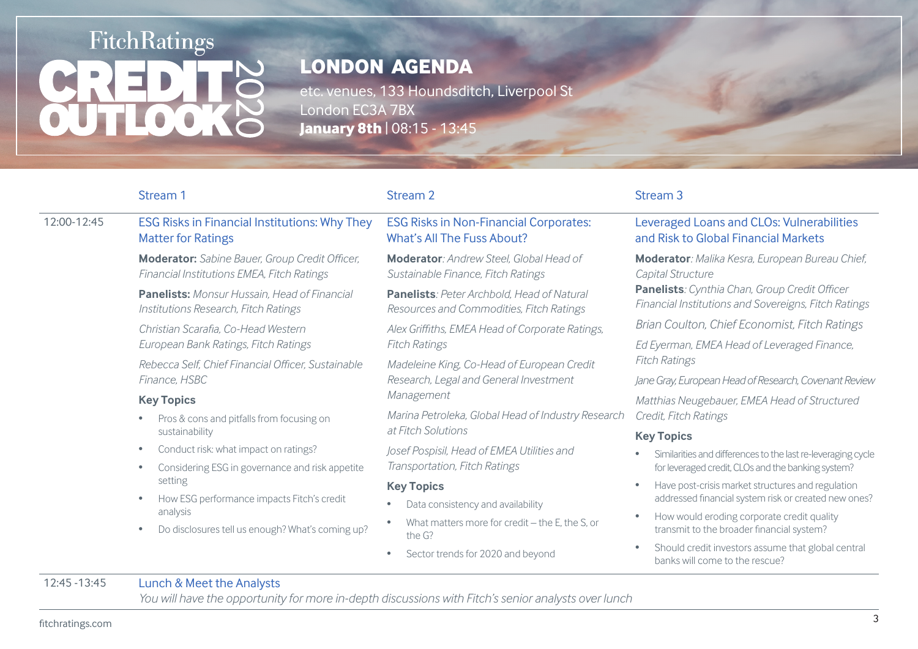# FitchRatings **OUTLOO**

# **LONDON AGENDA**

etc. venues, 133 Houndsditch, Liverpool St London EC3A 7BX **January 8th** | 08:15 - 13:45

|             | Stream 1                                                                                                             | Stream 2                                                                                           | Stream <sub>3</sub>                                                                                          |
|-------------|----------------------------------------------------------------------------------------------------------------------|----------------------------------------------------------------------------------------------------|--------------------------------------------------------------------------------------------------------------|
| 12:00-12:45 | <b>ESG Risks in Financial Institutions: Why They</b><br><b>Matter for Ratings</b>                                    | <b>ESG Risks in Non-Financial Corporates:</b><br><b>What's All The Fuss About?</b>                 | Leveraged Loans and CLOs: Vulnerabilities<br>and Risk to Global Financial Markets                            |
|             | Moderator: Sabine Bauer, Group Credit Officer,<br>Financial Institutions EMEA, Fitch Ratings                         | Moderator: Andrew Steel, Global Head of<br>Sustainable Finance, Fitch Ratings                      | Moderator: Malika Kesra, European Bureau Chief,<br>Capital Structure                                         |
|             | <b>Panelists:</b> Monsur Hussain. Head of Financial<br>Institutions Research, Fitch Ratings                          | <b>Panelists:</b> Peter Archbold. Head of Natural<br>Resources and Commodities, Fitch Ratings      | Panelists: Cynthia Chan, Group Credit Officer<br><b>Financial Institutions and Sovereigns, Fitch Ratings</b> |
|             | Christian Scarafia, Co-Head Western                                                                                  | Alex Griffiths, EMEA Head of Corporate Ratings,                                                    | Brian Coulton, Chief Economist, Fitch Ratings                                                                |
|             | European Bank Ratings, Fitch Ratings                                                                                 | <b>Fitch Ratings</b>                                                                               | Ed Eyerman, EMEA Head of Leveraged Finance,<br><b>Fitch Ratings</b>                                          |
|             | Rebecca Self, Chief Financial Officer, Sustainable<br>Finance, HSBC<br><b>Key Topics</b>                             | Madeleine King, Co-Head of European Credit<br>Research, Legal and General Investment<br>Management |                                                                                                              |
|             |                                                                                                                      |                                                                                                    | Jane Gray, European Head of Research, Covenant Review                                                        |
|             |                                                                                                                      |                                                                                                    | Matthias Neugebauer, EMEA Head of Structured                                                                 |
|             | Pros & cons and pitfalls from focusing on                                                                            | Marina Petroleka, Global Head of Industry Research<br>at Fitch Solutions                           | Credit, Fitch Ratings                                                                                        |
|             | sustainability                                                                                                       |                                                                                                    | <b>Key Topics</b>                                                                                            |
|             | Conduct risk: what impact on ratings?<br>٠                                                                           | Josef Pospisil, Head of EMEA Utilities and                                                         | Similarities and differences to the last re-leveraging cycle                                                 |
|             | Considering ESG in governance and risk appetite<br>setting<br>How ESG performance impacts Fitch's credit<br>analysis | Transportation, Fitch Ratings                                                                      | for leveraged credit, CLOs and the banking system?                                                           |
|             |                                                                                                                      | <b>Key Topics</b>                                                                                  | Have post-crisis market structures and regulation                                                            |
|             |                                                                                                                      | addressed financial system risk or created new ones?<br>Data consistency and availability          |                                                                                                              |
|             | Do disclosures tell us enough? What's coming up?                                                                     | What matters more for credit - the E, the S, or<br>the G?                                          | How would eroding corporate credit quality<br>transmit to the broader financial system?                      |
|             |                                                                                                                      | Sector trends for 2020 and beyond                                                                  | Should credit investors assume that global central<br>banks will come to the rescue?                         |

### 12:45 -13:45 Lunch & Meet the Analysts

*You will have the opportunity for more in-depth discussions with Fitch's senior analysts over lunch*